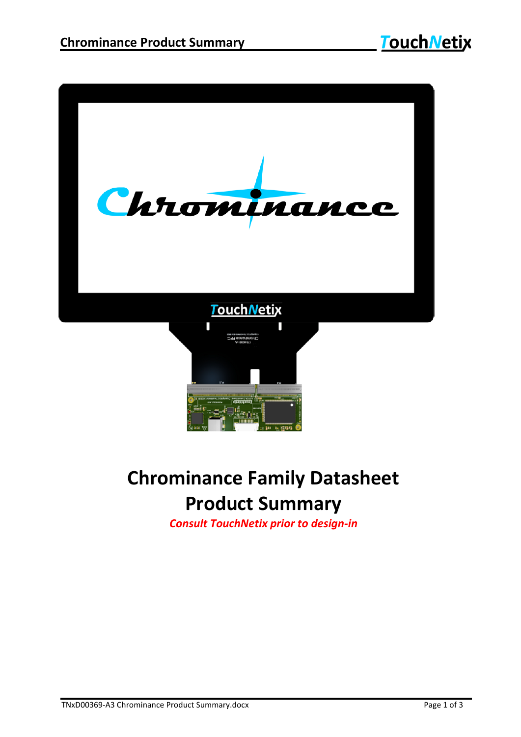



# **Chrominance Family Datasheet Product Summary**

*Consult TouchNetix prior to design-in*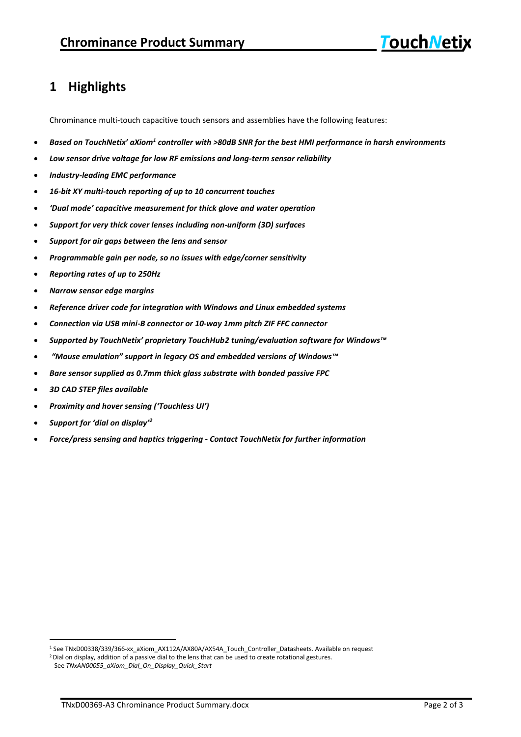### **1 Highlights**

Chrominance multi-touch capacitive touch sensors and assemblies have the following features:

- *Based on TouchNetix' aXiom<sup>1</sup> controller with >80dB SNR for the best HMI performance in harsh environments*
- *Low sensor drive voltage for low RF emissions and long-term sensor reliability*
- *Industry-leading EMC performance*
- *16-bit XY multi-touch reporting of up to 10 concurrent touches*
- *'Dual mode' capacitive measurement for thick glove and water operation*
- *Support for very thick cover lenses including non-uniform (3D) surfaces*
- *Support for air gaps between the lens and sensor*
- *Programmable gain per node, so no issues with edge/corner sensitivity*
- *Reporting rates of up to 250Hz*
- *Narrow sensor edge margins*
- *Reference driver code for integration with Windows and Linux embedded systems*
- *Connection via USB mini-B connector or 10-way 1mm pitch ZIF FFC connector*
- *Supported by TouchNetix' proprietary TouchHub2 tuning/evaluation software for Windows™*
- *"Mouse emulation" support in legacy OS and embedded versions of Windows™*
- *Bare sensor supplied as 0.7mm thick glass substrate with bonded passive FPC*
- *3D CAD STEP files available*
- *Proximity and hover sensing ('Touchless UI')*
- *Support for 'dial on display'<sup>2</sup>*
- *Force/press sensing and haptics triggering - Contact TouchNetix for further information*

<sup>&</sup>lt;sup>1</sup> See TNxD00338/339/366-xx\_aXiom\_AX112A/AX80A/AX54A\_Touch\_Controller\_Datasheets. Available on request

<sup>&</sup>lt;sup>2</sup> Dial on display, addition of a passive dial to the lens that can be used to create rotational gestures. See *TNxAN00055\_aXiom\_Dial\_On\_Display\_Quick\_Start*